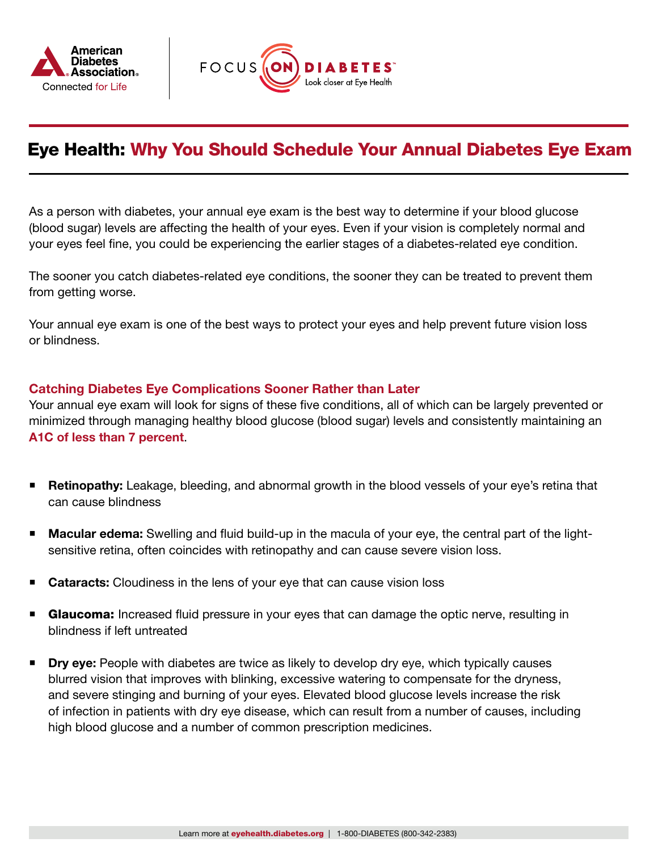



# Eye Health: Why You Should Schedule Your Annual Diabetes Eye Exam

As a person with diabetes, your annual eye exam is the best way to determine if your blood glucose (blood sugar) levels are affecting the health of your eyes. Even if your vision is completely normal and your eyes feel fine, you could be experiencing the earlier stages of a diabetes-related eye condition.

The sooner you catch diabetes-related eye conditions, the sooner they can be treated to prevent them from getting worse.

Your annual eye exam is one of the best ways to protect your eyes and help prevent future vision loss or blindness.

## Catching Diabetes Eye Complications Sooner Rather than Later

Your annual eye exam will look for signs of these five conditions, all of which can be largely prevented or minimized through managing healthy blood glucose (blood sugar) levels and consistently maintaining an [A1C of less than 7 percent](https://www.diabetes.org/diabetes/a1c).

- **Retinopathy:** Leakage, bleeding, and abnormal growth in the blood vessels of your eye's retina that can cause blindness
- **Macular edema:** Swelling and fluid build-up in the macula of your eye, the central part of the lightsensitive retina, often coincides with retinopathy and can cause severe vision loss.
- Cataracts: Cloudiness in the lens of your eye that can cause vision loss
- **Glaucoma:** Increased fluid pressure in your eyes that can damage the optic nerve, resulting in blindness if left untreated
- Dry eye: People with diabetes are twice as likely to develop dry eye, which typically causes blurred vision that improves with blinking, excessive watering to compensate for the dryness, and severe stinging and burning of your eyes. Elevated blood glucose levels increase the risk of infection in patients with dry eye disease, which can result from a number of causes, including high blood glucose and a number of common prescription medicines.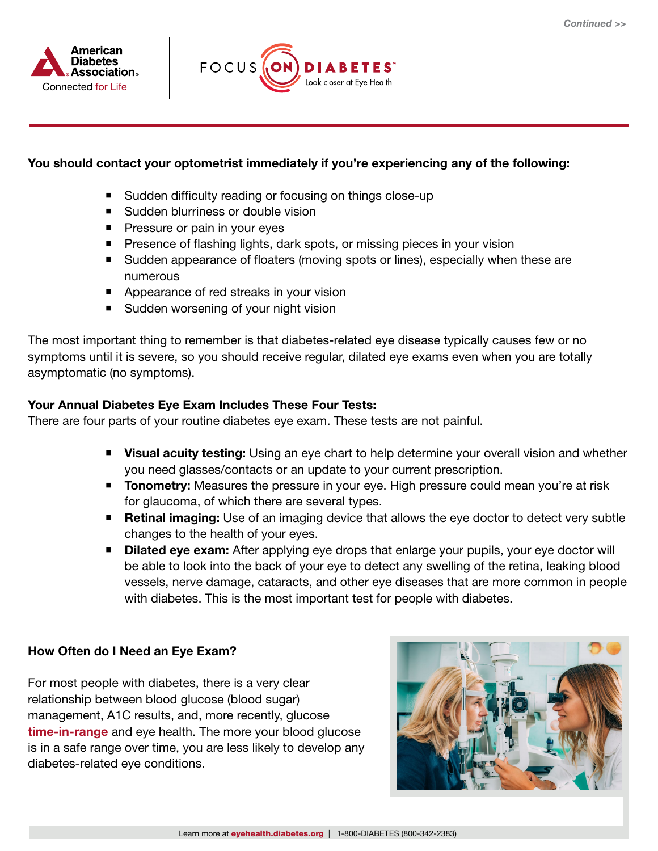



### You should contact your optometrist immediately if you're experiencing any of the following:

- Sudden difficulty reading or focusing on things close-up
- Sudden blurriness or double vision
- **Pressure or pain in your eyes**
- **Presence of flashing lights, dark spots, or missing pieces in your vision**
- Sudden appearance of floaters (moving spots or lines), especially when these are numerous
- Appearance of red streaks in your vision
- Sudden worsening of your night vision

The most important thing to remember is that diabetes-related eye disease typically causes few or no symptoms until it is severe, so you should receive regular, dilated eye exams even when you are totally asymptomatic (no symptoms).

#### Your Annual Diabetes Eye Exam Includes These Four Tests:

There are four parts of your routine diabetes eye exam. These tests are not painful.

- **Visual acuity testing:** Using an eye chart to help determine your overall vision and whether you need glasses/contacts or an update to your current prescription.
- **Tonometry:** Measures the pressure in your eye. High pressure could mean you're at risk for glaucoma, of which there are several types.
- Retinal imaging: Use of an imaging device that allows the eye doctor to detect very subtle changes to the health of your eyes.
- **Dilated eye exam:** After applying eye drops that enlarge your pupils, your eye doctor will be able to look into the back of your eye to detect any swelling of the retina, leaking blood vessels, nerve damage, cataracts, and other eye diseases that are more common in people with diabetes. This is the most important test for people with diabetes.

#### How Often do I Need an Eye Exam?

For most people with diabetes, there is a very clear relationship between blood glucose (blood sugar) management, A1C results, and, more recently, glucose [time-in-range](https://www.diabetes.org/tools-support/devices-technology/cgm-time-in-range) and eye health. The more your blood glucose is in a safe range over time, you are less likely to develop any diabetes-related eye conditions.